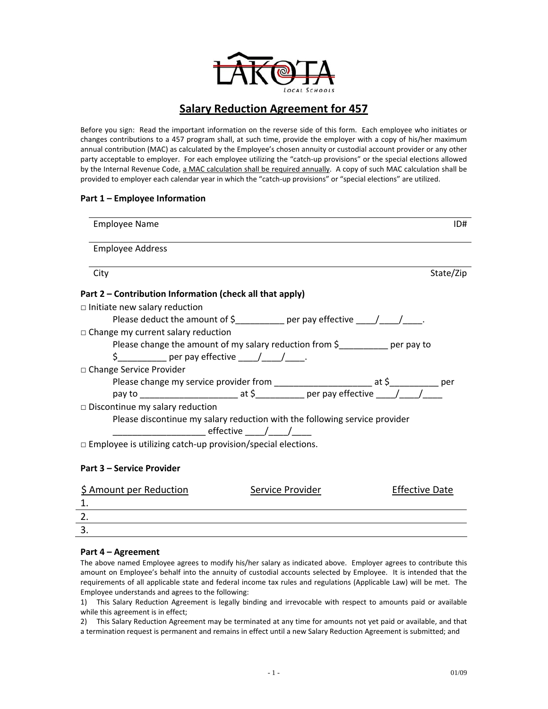

# **Salary Reduction Agreement for 457**

Before you sign: Read the important information on the reverse side of this form. Each employee who initiates or changes contributions to a 457 program shall, at such time, provide the employer with a copy of his/her maximum annual contribution (MAC) as calculated by the Employee's chosen annuity or custodial account provider or any other party acceptable to employer. For each employee utilizing the "catch-up provisions" or the special elections allowed by the Internal Revenue Code, a MAC calculation shall be required annually. A copy of such MAC calculation shall be provided to employer each calendar year in which the "catch‐up provisions" or "special elections" are utilized.

# **Part 1 – Employee Information**

| <b>Employee Name</b>                                                           | ID#       |
|--------------------------------------------------------------------------------|-----------|
| <b>Employee Address</b>                                                        |           |
| City                                                                           | State/Zip |
| Part 2 – Contribution Information (check all that apply)                       |           |
| $\Box$ Initiate new salary reduction                                           |           |
| Please deduct the amount of \$____________ per pay effective _____/_____/____. |           |
| $\Box$ Change my current salary reduction                                      |           |
| Please change the amount of my salary reduction from \$__________ per pay to   |           |
| \$                                                                             |           |
| □ Change Service Provider                                                      |           |
|                                                                                |           |
|                                                                                |           |
| $\Box$ Discontinue my salary reduction                                         |           |
| Please discontinue my salary reduction with the following service provider     |           |
| _______________ effective ______/______/______                                 |           |
| $\Box$ Employee is utilizing catch-up provision/special elections.             |           |
|                                                                                |           |

### **Part 3 – Service Provider**

| \$ Amount per Reduction | Service Provider | <b>Effective Date</b> |
|-------------------------|------------------|-----------------------|
|                         |                  |                       |
|                         |                  |                       |
|                         |                  |                       |
|                         |                  |                       |

# **Part 4 – Agreement**

The above named Employee agrees to modify his/her salary as indicated above. Employer agrees to contribute this amount on Employee's behalf into the annuity of custodial accounts selected by Employee. It is intended that the requirements of all applicable state and federal income tax rules and regulations (Applicable Law) will be met. The Employee understands and agrees to the following:

1) This Salary Reduction Agreement is legally binding and irrevocable with respect to amounts paid or available while this agreement is in effect;

2) This Salary Reduction Agreement may be terminated at any time for amounts not yet paid or available, and that a termination request is permanent and remains in effect until a new Salary Reduction Agreement is submitted; and